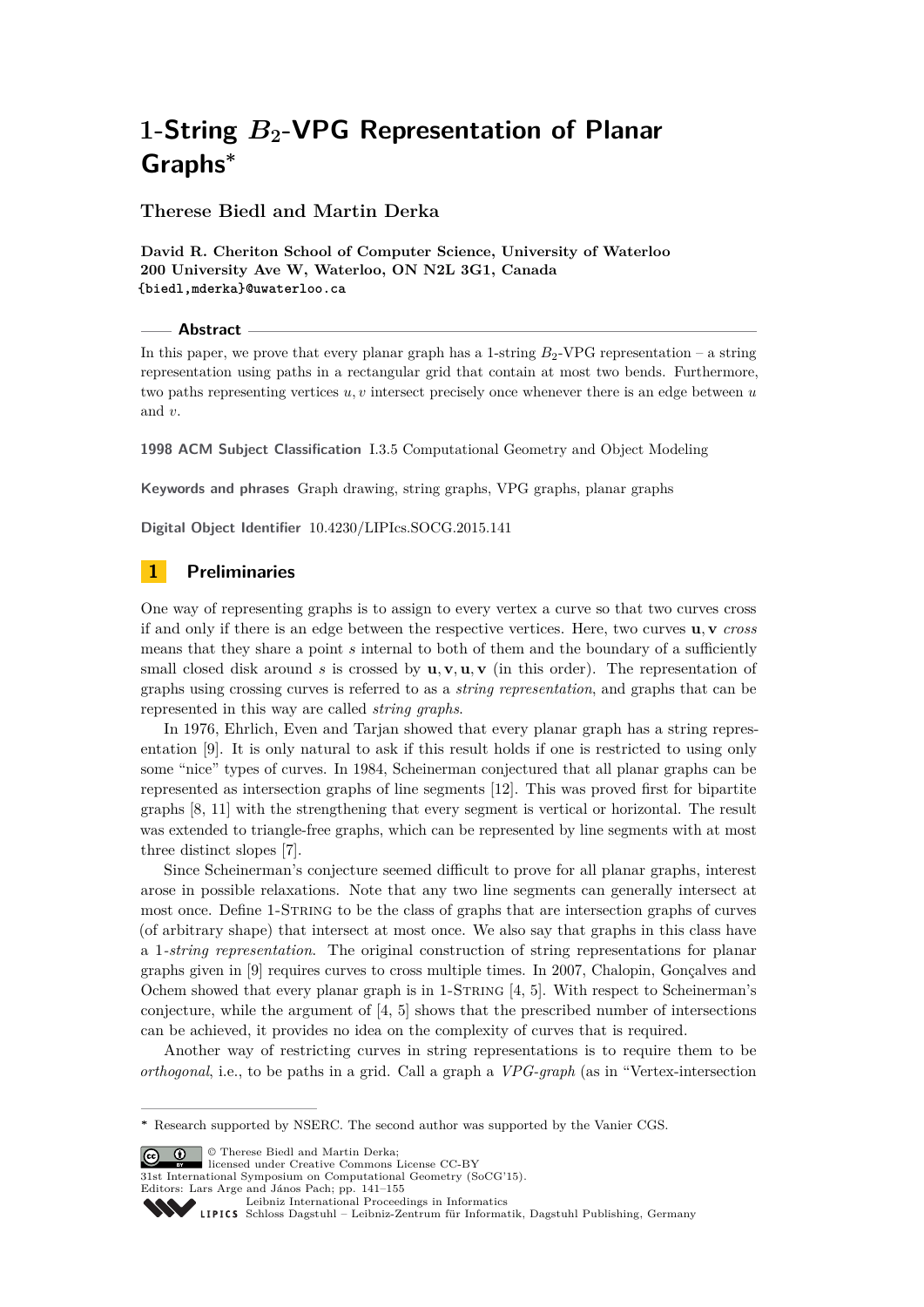# <span id="page-0-0"></span>**1-String** *B***2-VPG Representation of Planar Graphs<sup>∗</sup>**

## **Therese Biedl and Martin Derka**

**David R. Cheriton School of Computer Science, University of Waterloo 200 University Ave W, Waterloo, ON N2L 3G1, Canada {biedl,mderka}@uwaterloo.ca**

#### **Abstract**

In this paper, we prove that every planar graph has a 1-string  $B_2$ -VPG representation – a string representation using paths in a rectangular grid that contain at most two bends. Furthermore, two paths representing vertices *u, v* intersect precisely once whenever there is an edge between *u* and *v*.

**1998 ACM Subject Classification** I.3.5 Computational Geometry and Object Modeling

**Keywords and phrases** Graph drawing, string graphs, VPG graphs, planar graphs

**Digital Object Identifier** [10.4230/LIPIcs.SOCG.2015.141](http://dx.doi.org/10.4230/LIPIcs.SOCG.2015.141)

# **1 Preliminaries**

One way of representing graphs is to assign to every vertex a curve so that two curves cross if and only if there is an edge between the respective vertices. Here, two curves **u***,* **v** *cross* means that they share a point *s* internal to both of them and the boundary of a sufficiently small closed disk around *s* is crossed by **u***,* **v***,* **u***,* **v** (in this order). The representation of graphs using crossing curves is referred to as a *string representation*, and graphs that can be represented in this way are called *string graphs*.

In 1976, Ehrlich, Even and Tarjan showed that every planar graph has a string representation [\[9\]](#page-14-0). It is only natural to ask if this result holds if one is restricted to using only some "nice" types of curves. In 1984, Scheinerman conjectured that all planar graphs can be represented as intersection graphs of line segments [\[12\]](#page-14-1). This was proved first for bipartite graphs [\[8,](#page-14-2) [11\]](#page-14-3) with the strengthening that every segment is vertical or horizontal. The result was extended to triangle-free graphs, which can be represented by line segments with at most three distinct slopes [\[7\]](#page-14-4).

Since Scheinerman's conjecture seemed difficult to prove for all planar graphs, interest arose in possible relaxations. Note that any two line segments can generally intersect at most once. Define 1-STRING to be the class of graphs that are intersection graphs of curves (of arbitrary shape) that intersect at most once. We also say that graphs in this class have a 1*-string representation*. The original construction of string representations for planar graphs given in [\[9\]](#page-14-0) requires curves to cross multiple times. In 2007, Chalopin, Gonçalves and Ochem showed that every planar graph is in  $1$ -STRING [\[4,](#page-14-5) [5\]](#page-14-6). With respect to Scheinerman's conjecture, while the argument of [\[4,](#page-14-5) [5\]](#page-14-6) shows that the prescribed number of intersections can be achieved, it provides no idea on the complexity of curves that is required.

Another way of restricting curves in string representations is to require them to be *orthogonal*, i.e., to be paths in a grid. Call a graph a *VPG-graph* (as in "Vertex-intersection

© Therese Biedl and Martin Derka;  $\boxed{6}$  0

licensed under Creative Commons License CC-BY

31st International Symposium on Computational Geometry (SoCG'15).

Editors: Lars Arge and János Pach; pp. 141[–155](#page-14-7)

**<sup>∗</sup>** Research supported by NSERC. The second author was supported by the Vanier CGS.

[Leibniz International Proceedings in Informatics](http://www.dagstuhl.de/lipics/)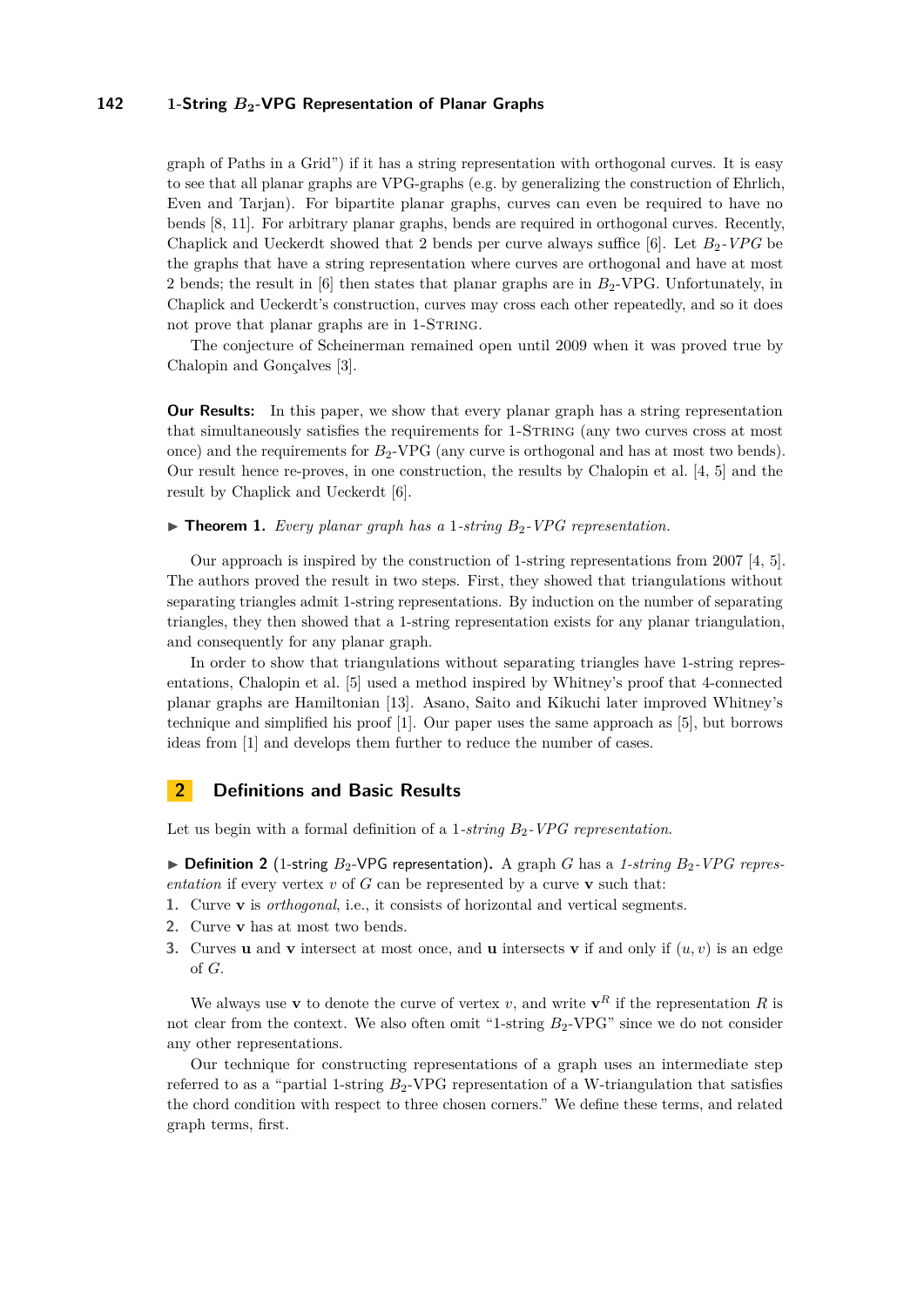## **142 1-String** *B***2-VPG Representation of Planar Graphs**

graph of Paths in a Grid") if it has a string representation with orthogonal curves. It is easy to see that all planar graphs are VPG-graphs (e.g. by generalizing the construction of Ehrlich, Even and Tarjan). For bipartite planar graphs, curves can even be required to have no bends [\[8,](#page-14-2) [11\]](#page-14-3). For arbitrary planar graphs, bends are required in orthogonal curves. Recently, Chaplick and Ueckerdt showed that 2 bends per curve always suffice [\[6\]](#page-14-8). Let *B*2*-VPG* be the graphs that have a string representation where curves are orthogonal and have at most 2 bends; the result in [\[6\]](#page-14-8) then states that planar graphs are in *B*2-VPG. Unfortunately, in Chaplick and Ueckerdt's construction, curves may cross each other repeatedly, and so it does not prove that planar graphs are in 1-STRING.

The conjecture of Scheinerman remained open until 2009 when it was proved true by Chalopin and Gonçalves [\[3\]](#page-14-9).

**Our Results:** In this paper, we show that every planar graph has a string representation that simultaneously satisfies the requirements for 1-String (any two curves cross at most once) and the requirements for  $B_2$ -VPG (any curve is orthogonal and has at most two bends). Our result hence re-proves, in one construction, the results by Chalopin et al. [\[4,](#page-14-5) [5\]](#page-14-6) and the result by Chaplick and Ueckerdt [\[6\]](#page-14-8).

<span id="page-1-0"></span> $\triangleright$  **Theorem 1.** *Every planar graph has a* 1-string  $B_2$ -VPG representation.

Our approach is inspired by the construction of 1-string representations from 2007 [\[4,](#page-14-5) [5\]](#page-14-6). The authors proved the result in two steps. First, they showed that triangulations without separating triangles admit 1-string representations. By induction on the number of separating triangles, they then showed that a 1-string representation exists for any planar triangulation, and consequently for any planar graph.

In order to show that triangulations without separating triangles have 1-string representations, Chalopin et al. [\[5\]](#page-14-6) used a method inspired by Whitney's proof that 4-connected planar graphs are Hamiltonian [\[13\]](#page-14-10). Asano, Saito and Kikuchi later improved Whitney's technique and simplified his proof [\[1\]](#page-14-11). Our paper uses the same approach as [\[5\]](#page-14-6), but borrows ideas from [\[1\]](#page-14-11) and develops them further to reduce the number of cases.

# **2 Definitions and Basic Results**

Let us begin with a formal definition of a 1-string  $B_2$ -VPG representation.

 $\triangleright$  **Definition 2** (1-string  $B_2$ -VPG representation). A graph *G* has a 1-string  $B_2$ -VPG repres*entation* if every vertex  $v$  of  $G$  can be represented by a curve  $\bf{v}$  such that:

- **1.** Curve **v** is *orthogonal*, i.e., it consists of horizontal and vertical segments.
- **2.** Curve **v** has at most two bends.
- **3.** Curves **u** and **v** intersect at most once, and **u** intersects **v** if and only if  $(u, v)$  is an edge of *G*.

We always use **v** to denote the curve of vertex  $v$ , and write  $\mathbf{v}^R$  if the representation R is not clear from the context. We also often omit "1-string  $B_2$ -VPG" since we do not consider any other representations.

Our technique for constructing representations of a graph uses an intermediate step referred to as a "partial 1-string  $B_2$ -VPG representation of a W-triangulation that satisfies the chord condition with respect to three chosen corners." We define these terms, and related graph terms, first.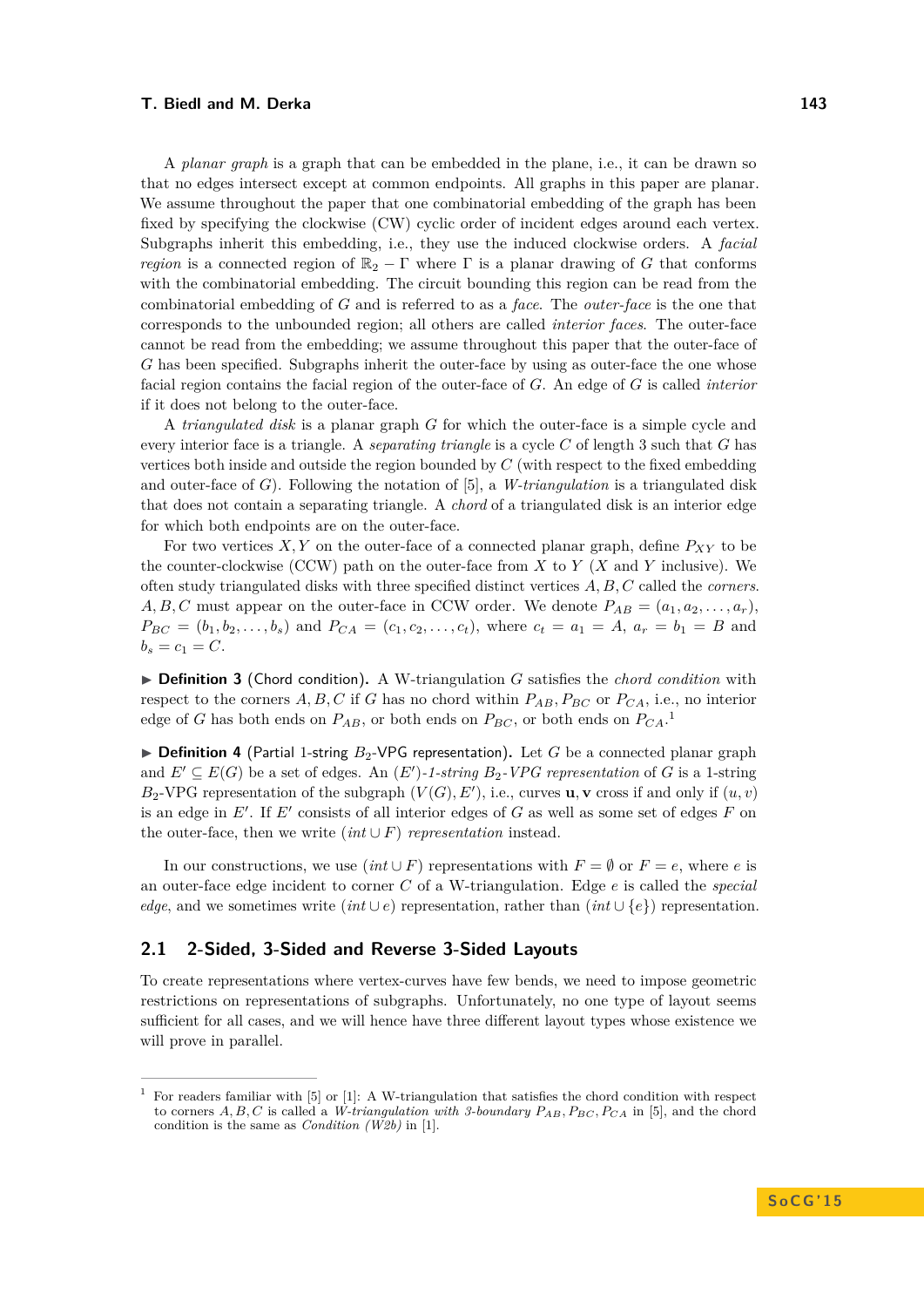A *planar graph* is a graph that can be embedded in the plane, i.e., it can be drawn so that no edges intersect except at common endpoints. All graphs in this paper are planar. We assume throughout the paper that one combinatorial embedding of the graph has been fixed by specifying the clockwise (CW) cyclic order of incident edges around each vertex. Subgraphs inherit this embedding, i.e., they use the induced clockwise orders. A *facial region* is a connected region of  $\mathbb{R}_2 - \Gamma$  where  $\Gamma$  is a planar drawing of *G* that conforms with the combinatorial embedding. The circuit bounding this region can be read from the combinatorial embedding of *G* and is referred to as a *face*. The *outer-face* is the one that corresponds to the unbounded region; all others are called *interior faces*. The outer-face cannot be read from the embedding; we assume throughout this paper that the outer-face of *G* has been specified. Subgraphs inherit the outer-face by using as outer-face the one whose facial region contains the facial region of the outer-face of *G*. An edge of *G* is called *interior* if it does not belong to the outer-face.

A *triangulated disk* is a planar graph *G* for which the outer-face is a simple cycle and every interior face is a triangle. A *separating triangle* is a cycle *C* of length 3 such that *G* has vertices both inside and outside the region bounded by *C* (with respect to the fixed embedding and outer-face of *G*). Following the notation of [\[5\]](#page-14-6), a *W-triangulation* is a triangulated disk that does not contain a separating triangle. A *chord* of a triangulated disk is an interior edge for which both endpoints are on the outer-face.

For two vertices *X, Y* on the outer-face of a connected planar graph, define *PXY* to be the counter-clockwise (CCW) path on the outer-face from *X* to *Y* (*X* and *Y* inclusive). We often study triangulated disks with three specified distinct vertices *A, B, C* called the *corners*. *A, B, C* must appear on the outer-face in CCW order. We denote  $P_{AB} = (a_1, a_2, \ldots, a_r)$ ,  $P_{BC} = (b_1, b_2, \ldots, b_s)$  and  $P_{CA} = (c_1, c_2, \ldots, c_t)$ , where  $c_t = a_1 = A$ ,  $a_r = b_1 = B$  and  $b_s = c_1 = C$ .

▶ **Definition 3** (Chord condition). A W-triangulation *G* satisfies the *chord condition* with respect to the corners  $A, B, C$  if  $G$  has no chord within  $P_{AB}, P_{BC}$  or  $P_{CA}$ , i.e., no interior edge of *G* has both ends on  $P_{AB}$ , or both ends on  $P_{BC}$ , or both ends on  $P_{CA}$ <sup>[1](#page-2-0)</sup>

 $\triangleright$  **Definition 4** (Partial 1-string  $B_2$ -VPG representation). Let *G* be a connected planar graph and  $E' \subseteq E(G)$  be a set of edges. An  $(E')$ -1-string  $B_2$ -VPG representation of G is a 1-string  $B_2$ -VPG representation of the subgraph  $(V(G), E')$ , i.e., curves **u**, **v** cross if and only if  $(u, v)$ is an edge in  $E'$ . If  $E'$  consists of all interior edges of  $G$  as well as some set of edges  $F$  on the outer-face, then we write  $(int \cup F)$  *representation* instead.

In our constructions, we use  $(int \cup F)$  representations with  $F = \emptyset$  or  $F = e$ , where *e* is an outer-face edge incident to corner *C* of a W-triangulation. Edge *e* is called the *special edge*, and we sometimes write  $(int \cup e)$  representation, rather than  $(int \cup \{e\})$  representation.

## **2.1 2-Sided, 3-Sided and Reverse 3-Sided Layouts**

To create representations where vertex-curves have few bends, we need to impose geometric restrictions on representations of subgraphs. Unfortunately, no one type of layout seems sufficient for all cases, and we will hence have three different layout types whose existence we will prove in parallel.

<span id="page-2-0"></span><sup>1</sup> For readers familiar with [\[5\]](#page-14-6) or [\[1\]](#page-14-11): A W-triangulation that satisfies the chord condition with respect to corners *A, B, C* is called a *W-triangulation with 3-boundary PAB, PBC , PCA* in [\[5\]](#page-14-6), and the chord condition is the same as *Condition (W2b)* in [\[1\]](#page-14-11).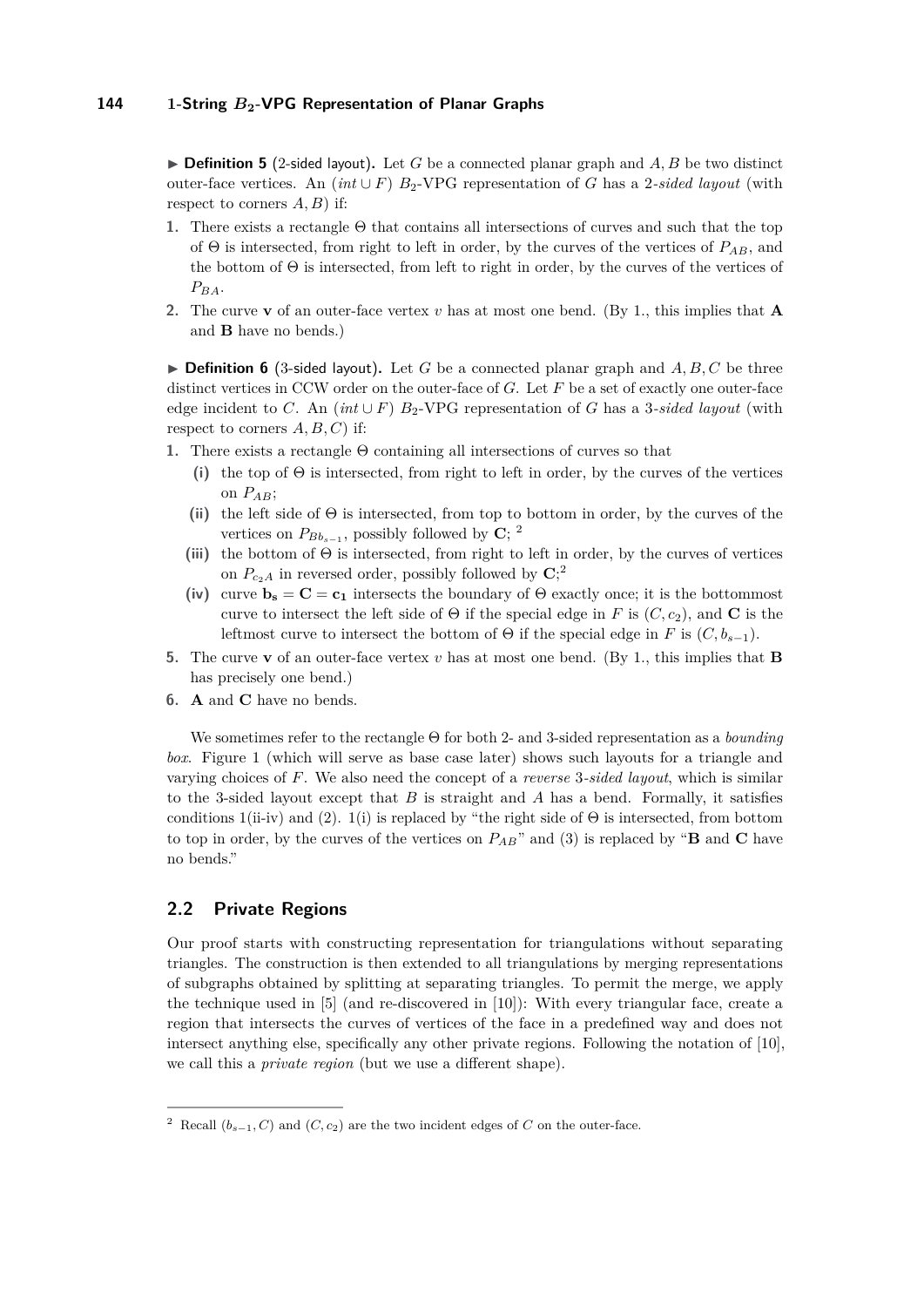$\triangleright$  **Definition 5** (2-sided layout). Let G be a connected planar graph and A, B be two distinct outer-face vertices. An  $(int \cup F)$  *B*<sub>2</sub>-VPG representation of *G* has a 2-sided layout (with respect to corners *A, B*) if:

- **1.** There exists a rectangle  $\Theta$  that contains all intersections of curves and such that the top of Θ is intersected, from right to left in order, by the curves of the vertices of *PAB*, and the bottom of  $\Theta$  is intersected, from left to right in order, by the curves of the vertices of *PBA*.
- **2.** The curve **v** of an outer-face vertex  $v$  has at most one bend. (By 1., this implies that **A** and **B** have no bends.)

 $\triangleright$  **Definition 6** (3-sided layout). Let G be a connected planar graph and A, B, C be three distinct vertices in CCW order on the outer-face of *G*. Let *F* be a set of exactly one outer-face edge incident to *C*. An  $(int \cup F)$  *B*<sub>2</sub>-VPG representation of *G* has a 3-sided layout (with respect to corners *A, B, C*) if:

- **1.** There exists a rectangle Θ containing all intersections of curves so that
	- **(i)** the top of Θ is intersected, from right to left in order, by the curves of the vertices on *PAB*;
	- **(ii)** the left side of Θ is intersected, from top to bottom in order, by the curves of the vertices on  $P_{Bb_{s-1}}$ , possibly followed by **C**; <sup>[2](#page-3-0)</sup>
	- **(iii)** the bottom of Θ is intersected, from right to left in order, by the curves of vertices on  $P_{c_2A}$  $P_{c_2A}$  $P_{c_2A}$  in reversed order, possibly followed by  $\mathbb{C}$ ;<sup>2</sup>
	- (iv) curve  $\mathbf{b_s} = \mathbf{C} = \mathbf{c_1}$  intersects the boundary of  $\Theta$  exactly once; it is the bottommost curve to intersect the left side of  $\Theta$  if the special edge in *F* is  $(C, c_2)$ , and **C** is the leftmost curve to intersect the bottom of  $\Theta$  if the special edge in *F* is  $(C, b_{s-1})$ .
- **5.** The curve **v** of an outer-face vertex  $v$  has at most one bend. (By 1., this implies that **B** has precisely one bend.)
- **6. A** and **C** have no bends.

We sometimes refer to the rectangle Θ for both 2- and 3-sided representation as a *bounding box*. Figure [1](#page-4-0) (which will serve as base case later) shows such layouts for a triangle and varying choices of *F*. We also need the concept of a *reverse* 3*-sided layout*, which is similar to the 3-sided layout except that *B* is straight and *A* has a bend. Formally, it satisfies conditions 1(ii-iv) and (2). 1(i) is replaced by "the right side of  $\Theta$  is intersected, from bottom to top in order, by the curves of the vertices on  $P_{AB}$ " and (3) is replaced by "**B** and **C** have no bends."

# **2.2 Private Regions**

Our proof starts with constructing representation for triangulations without separating triangles. The construction is then extended to all triangulations by merging representations of subgraphs obtained by splitting at separating triangles. To permit the merge, we apply the technique used in [\[5\]](#page-14-6) (and re-discovered in [\[10\]](#page-14-12)): With every triangular face, create a region that intersects the curves of vertices of the face in a predefined way and does not intersect anything else, specifically any other private regions. Following the notation of [\[10\]](#page-14-12), we call this a *private region* (but we use a different shape).

<span id="page-3-0"></span><sup>&</sup>lt;sup>2</sup> Recall  $(b_{s-1}, C)$  and  $(C, c_2)$  are the two incident edges of *C* on the outer-face.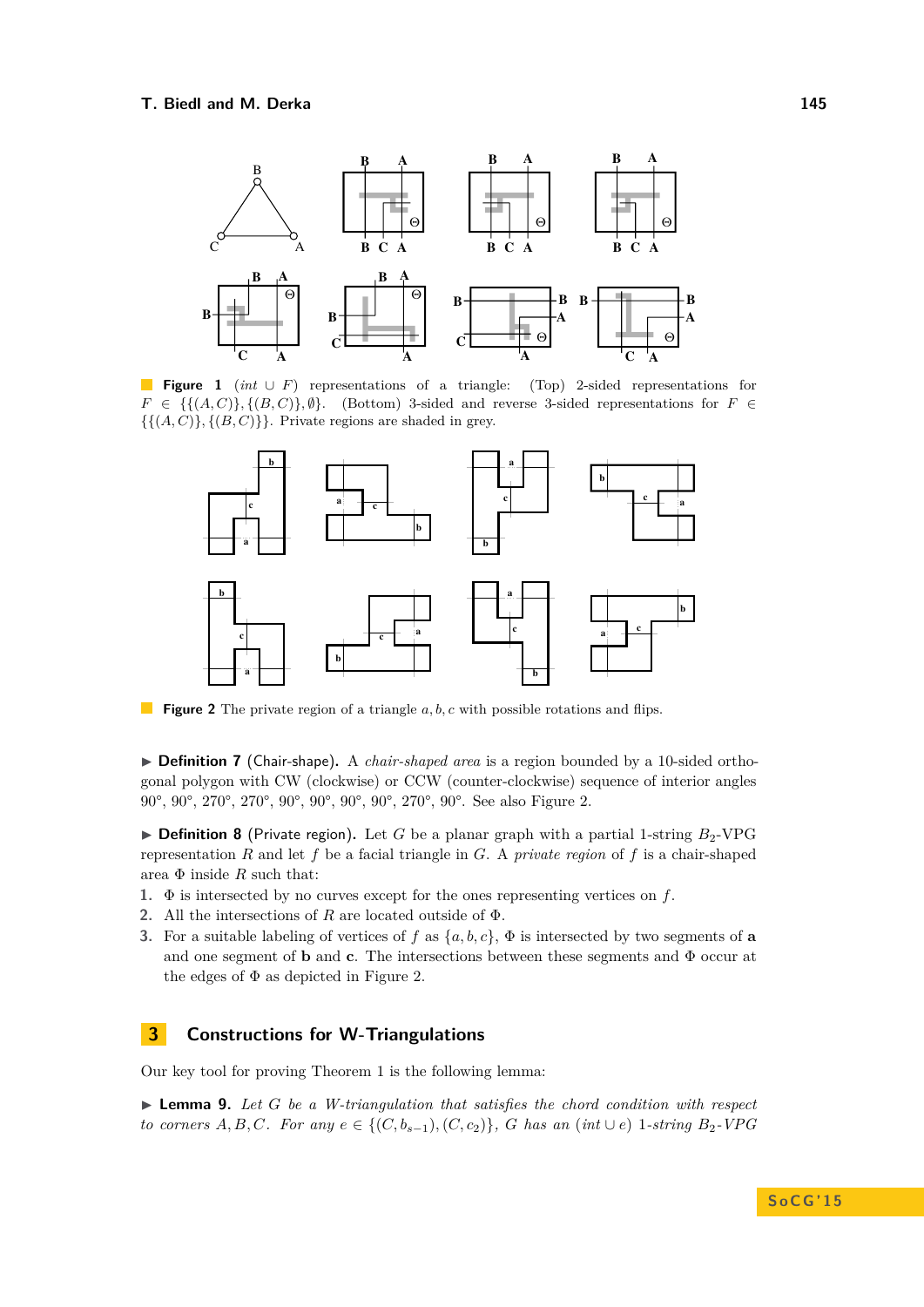<span id="page-4-0"></span>

**Figure 1** (*int* ∪ *F*) representations of a triangle: (Top) 2-sided representations for *F* ∈ { $\{(A, C)\}, \{(B, C)\}, \emptyset\}.$  (Bottom) 3-sided and reverse 3-sided representations for *F* ∈  $\{\{(A, C)\}, \{(B, C)\}\}\$ . Private regions are shaded in grey.

<span id="page-4-1"></span>

**Figure 2** The private region of a triangle *a, b, c* with possible rotations and flips.

▶ **Definition 7** (Chair-shape). A *chair-shaped area* is a region bounded by a 10-sided orthogonal polygon with CW (clockwise) or CCW (counter-clockwise) sequence of interior angles 90°, 90°, 270°, 270°, 90°, 90°, 90°, 90°, 270°, 90°. See also Figure [2.](#page-4-1)

**Definition 8** (Private region). Let G be a planar graph with a partial 1-string  $B_2$ -VPG representation *R* and let *f* be a facial triangle in *G*. A *private region* of *f* is a chair-shaped area  $\Phi$  inside  $R$  such that:

- **1.** Φ is intersected by no curves except for the ones representing vertices on *f*.
- **2.** All the intersections of *R* are located outside of Φ.
- **3.** For a suitable labeling of vertices of  $f$  as  $\{a, b, c\}$ ,  $\Phi$  is intersected by two segments of **a** and one segment of **b** and **c**. The intersections between these segments and Φ occur at the edges of  $\Phi$  as depicted in Figure [2.](#page-4-1)

## **3 Constructions for W-Triangulations**

Our key tool for proving Theorem [1](#page-1-0) is the following lemma:

<span id="page-4-2"></span> $\blacktriangleright$  **Lemma 9.** Let *G* be a *W*-triangulation that satisfies the chord condition with respect *to corners A, B, C.* For any  $e \in \{(C, b_{s-1}), (C, c_2)\}$ , *G has an* (*int* ∪ *e*) 1*-string B*<sub>2</sub>*-VPG*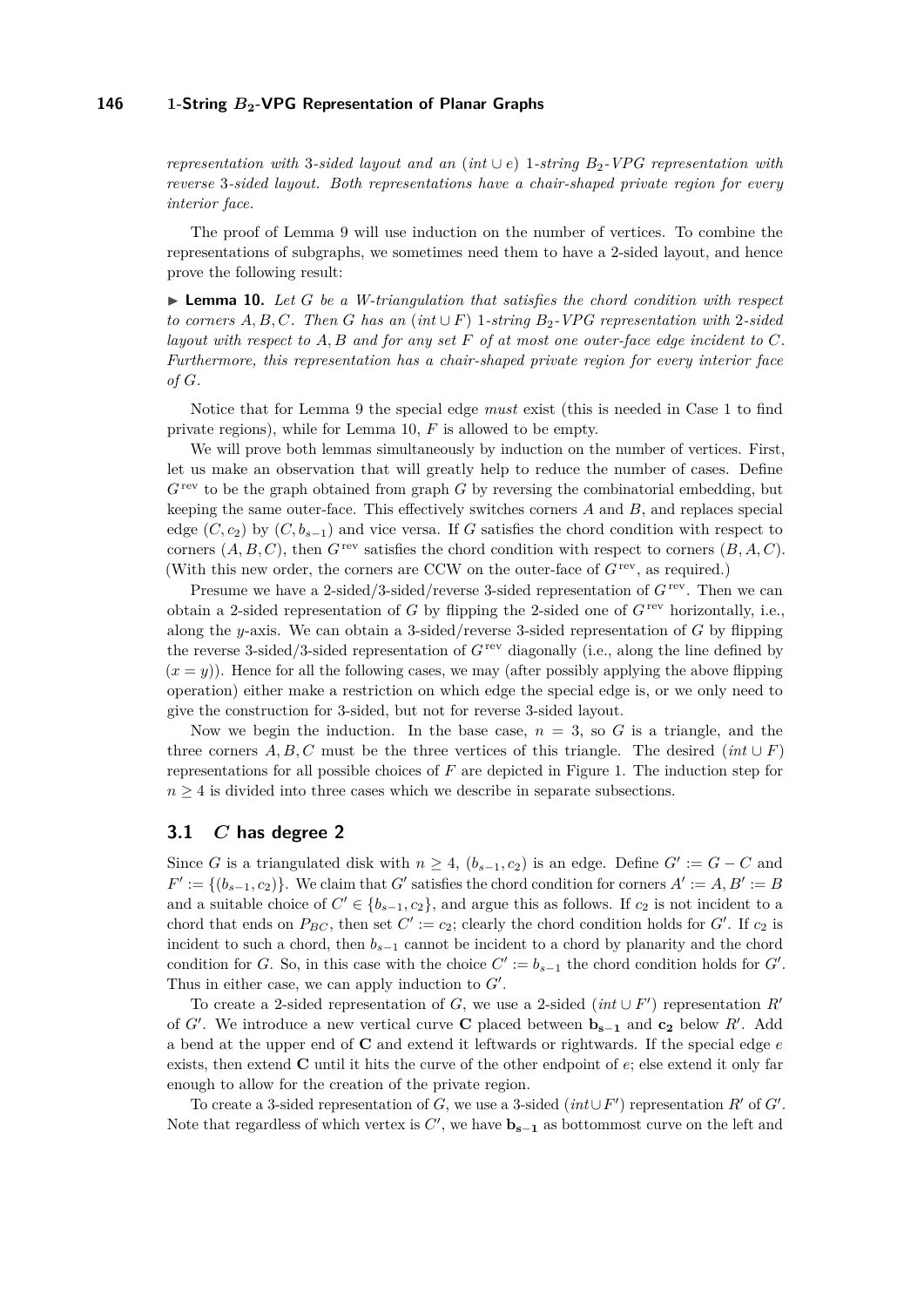### **146 1-String** *B***2-VPG Representation of Planar Graphs**

*representation with* 3*-sided layout and an* (*int* ∪ *e*) 1*-string B*2*-VPG representation with reverse* 3*-sided layout. Both representations have a chair-shaped private region for every interior face.*

The proof of Lemma [9](#page-4-2) will use induction on the number of vertices. To combine the representations of subgraphs, we sometimes need them to have a 2-sided layout, and hence prove the following result:

<span id="page-5-0"></span> $\triangleright$  **Lemma 10.** Let *G* be a W-triangulation that satisfies the chord condition with respect *to corners*  $A, B, C$ *. Then*  $G$  *has an* ( $int \cup F$ ) 1*-string*  $B_2$ -*VPG representation with* 2*-sided layout with respect to A, B and for any set F of at most one outer-face edge incident to C. Furthermore, this representation has a chair-shaped private region for every interior face of G.*

Notice that for Lemma [9](#page-4-2) the special edge *must* exist (this is needed in Case 1 to find private regions), while for Lemma [10,](#page-5-0) *F* is allowed to be empty.

We will prove both lemmas simultaneously by induction on the number of vertices. First, let us make an observation that will greatly help to reduce the number of cases. Define *G*rev to be the graph obtained from graph *G* by reversing the combinatorial embedding, but keeping the same outer-face. This effectively switches corners *A* and *B*, and replaces special edge  $(C, c_2)$  by  $(C, b_{s-1})$  and vice versa. If *G* satisfies the chord condition with respect to corners  $(A, B, C)$ , then  $G^{\text{rev}}$  satisfies the chord condition with respect to corners  $(B, A, C)$ . (With this new order, the corners are CCW on the outer-face of *G*rev, as required.)

Presume we have a 2-sided/3-sided/reverse 3-sided representation of  $G^{\text{rev}}$ . Then we can obtain a 2-sided representation of *G* by flipping the 2-sided one of *G*rev horizontally, i.e., along the *y*-axis. We can obtain a 3-sided/reverse 3-sided representation of *G* by flipping the reverse 3-sided/3-sided representation of *G*rev diagonally (i.e., along the line defined by  $(x = y)$ ). Hence for all the following cases, we may (after possibly applying the above flipping operation) either make a restriction on which edge the special edge is, or we only need to give the construction for 3-sided, but not for reverse 3-sided layout.

Now we begin the induction. In the base case,  $n = 3$ , so G is a triangle, and the three corners  $A, B, C$  must be the three vertices of this triangle. The desired  $(int \cup F)$ representations for all possible choices of *F* are depicted in Figure [1.](#page-4-0) The induction step for  $n \geq 4$  is divided into three cases which we describe in separate subsections.

## **3.1** *C* **has degree 2**

Since *G* is a triangulated disk with  $n \geq 4$ ,  $(b_{s-1}, c_2)$  is an edge. Define  $G' := G - C$  and  $F' := \{(b_{s-1}, c_2)\}\.$  We claim that *G*<sup>*n*</sup> satisfies the chord condition for corners  $A' := A, B' := B$ and a suitable choice of  $C' \in \{b_{s-1}, c_2\}$ , and argue this as follows. If  $c_2$  is not incident to a chord that ends on  $P_{BC}$ , then set  $C' := c_2$ ; clearly the chord condition holds for  $G'$ . If  $c_2$  is incident to such a chord, then  $b_{s-1}$  cannot be incident to a chord by planarity and the chord condition for *G*. So, in this case with the choice  $C' := b_{s-1}$  the chord condition holds for *G'*. Thus in either case, we can apply induction to  $G'$ .

To create a 2-sided representation of *G*, we use a 2-sided  $(int \cup F')$  representation *R'* of *G*<sup>'</sup>. We introduce a new vertical curve **C** placed between  $\mathbf{b}_{s-1}$  and  $\mathbf{c}_2$  below *R*<sup>'</sup>. Add a bend at the upper end of **C** and extend it leftwards or rightwards. If the special edge *e* exists, then extend **C** until it hits the curve of the other endpoint of *e*; else extend it only far enough to allow for the creation of the private region.

To create a 3-sided representation of *G*, we use a 3-sided  $(int \cup F')$  representation  $R'$  of  $G'$ . Note that regardless of which vertex is  $C'$ , we have **b**<sub>s−1</sub> as bottommost curve on the left and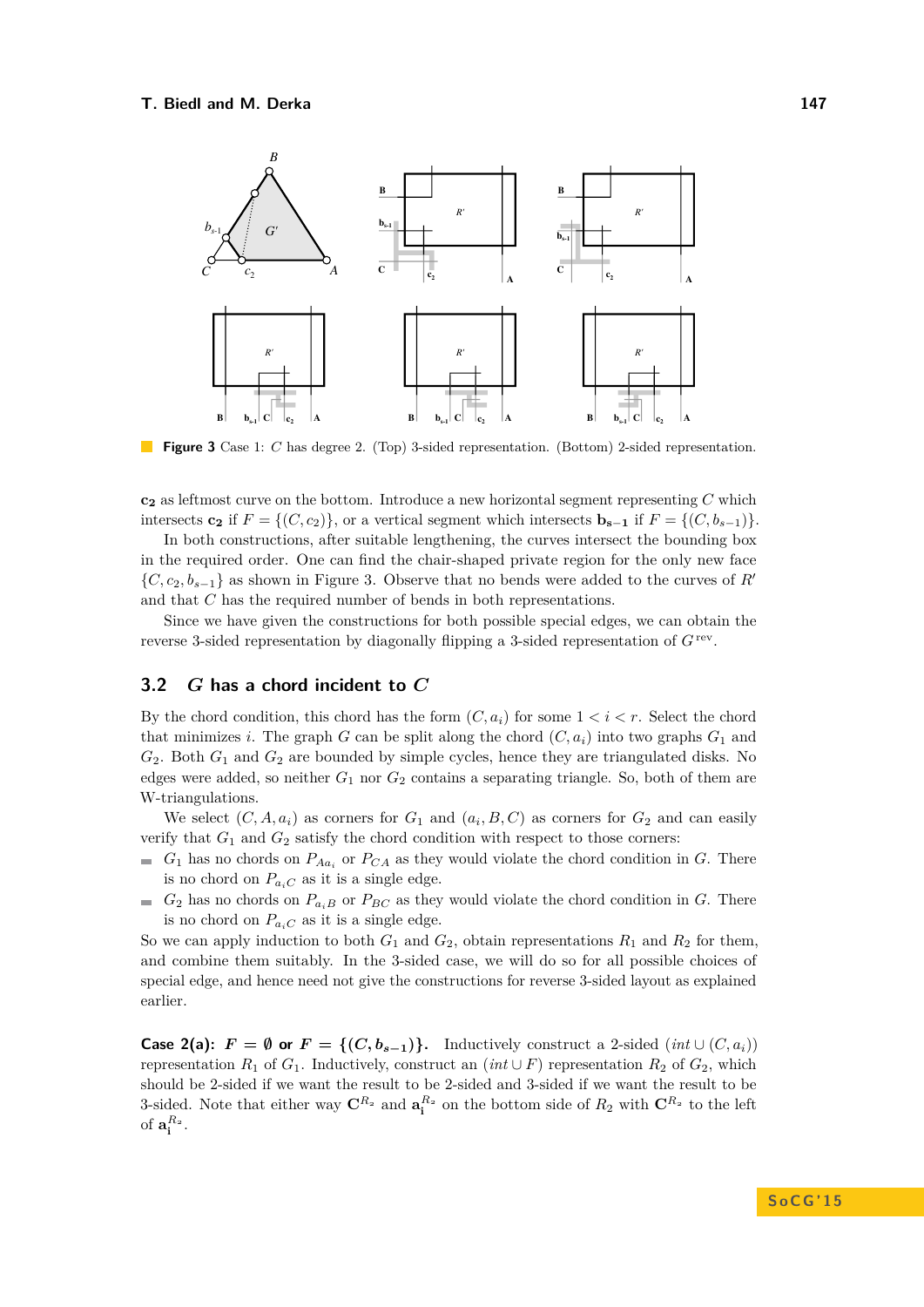<span id="page-6-0"></span>

**Figure 3** Case 1: *C* has degree 2. (Top) 3-sided representation. (Bottom) 2-sided representation.

**c<sup>2</sup>** as leftmost curve on the bottom. Introduce a new horizontal segment representing *C* which intersects **c<sup>2</sup>** if *F* = {(*C, c*2)}, or a vertical segment which intersects **bs**−**<sup>1</sup>** if *F* = {(*C, bs*−1)}.

In both constructions, after suitable lengthening, the curves intersect the bounding box in the required order. One can find the chair-shaped private region for the only new face  ${C, c_2, b_{s-1}}$  as shown in Figure [3.](#page-6-0) Observe that no bends were added to the curves of *R'* and that *C* has the required number of bends in both representations.

Since we have given the constructions for both possible special edges, we can obtain the reverse 3-sided representation by diagonally flipping a 3-sided representation of  $G^{\text{rev}}$ .

## **3.2** *G* **has a chord incident to** *C*

By the chord condition, this chord has the form  $(C, a_i)$  for some  $1 < i < r$ . Select the chord that minimizes *i*. The graph *G* can be split along the chord  $(C, a_i)$  into two graphs  $G_1$  and  $G_2$ . Both  $G_1$  and  $G_2$  are bounded by simple cycles, hence they are triangulated disks. No edges were added, so neither *G*<sup>1</sup> nor *G*<sup>2</sup> contains a separating triangle. So, both of them are W-triangulations.

We select  $(C, A, a_i)$  as corners for  $G_1$  and  $(a_i, B, C)$  as corners for  $G_2$  and can easily verify that  $G_1$  and  $G_2$  satisfy the chord condition with respect to those corners:

- $G_1$  has no chords on  $P_{Aa_i}$  or  $P_{CA}$  as they would violate the chord condition in *G*. There is no chord on  $P_{a_iC}$  as it is a single edge.
- $G_2$  has no chords on  $P_{a_i}$  or  $P_{BC}$  as they would violate the chord condition in *G*. There is no chord on  $P_{a_i}$  as it is a single edge.

So we can apply induction to both  $G_1$  and  $G_2$ , obtain representations  $R_1$  and  $R_2$  for them, and combine them suitably. In the 3-sided case, we will do so for all possible choices of special edge, and hence need not give the constructions for reverse 3-sided layout as explained earlier.

**Case 2(a):**  $F = \emptyset$  or  $F = \{(C, b_{s-1})\}$ . Inductively construct a 2-sided  $(int \cup (C, a_i))$ representation  $R_1$  of  $G_1$ . Inductively, construct an  $(int \cup F)$  representation  $R_2$  of  $G_2$ , which should be 2-sided if we want the result to be 2-sided and 3-sided if we want the result to be 3-sided. Note that either way  $\mathbf{C}^{R_2}$  and  $\mathbf{a}_i^{R_2}$  on the bottom side of  $R_2$  with  $\mathbf{C}^{R_2}$  to the left of  $\mathbf{a}_{\mathbf{i}}^{R_{2}}$ .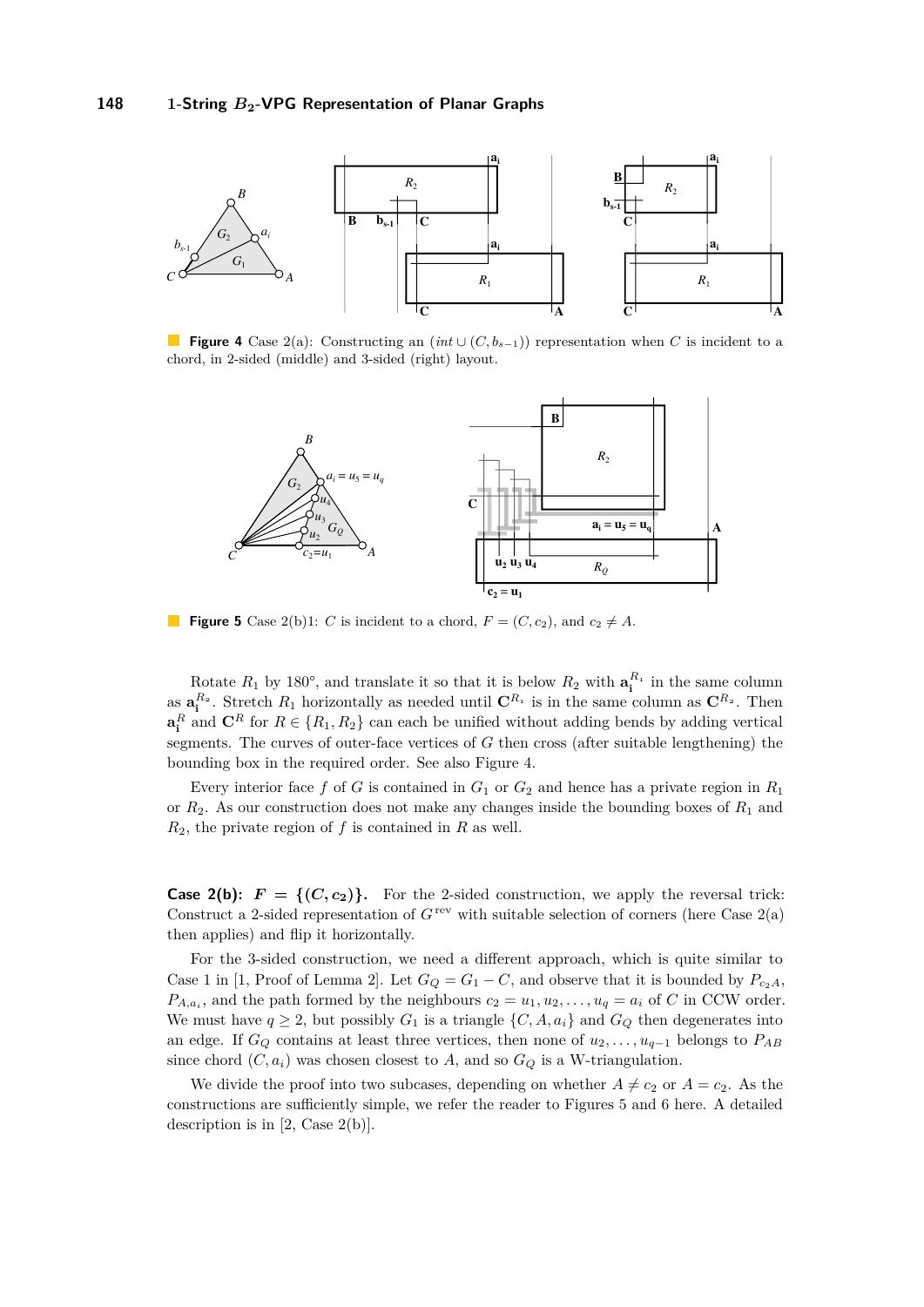<span id="page-7-0"></span>

**Figure 4** Case 2(a): Constructing an (*int* ∪ (*C, bs*−1)) representation when *C* is incident to a chord, in 2-sided (middle) and 3-sided (right) layout.

<span id="page-7-1"></span>

**Figure 5** Case 2(b)1: *C* is incident to a chord,  $F = (C, c_2)$ , and  $c_2 \neq A$ .

Rotate  $R_1$  by 180°, and translate it so that it is below  $R_2$  with  $\mathbf{a}_i^{R_1}$  in the same column as  $\mathbf{a}_{i}^{R_{2}}$ . Stretch  $R_{1}$  horizontally as needed until  $\mathbf{C}^{R_{1}}$  is in the same column as  $\mathbf{C}^{R_{2}}$ . Then  $\mathbf{a}_i^R$  and  $\mathbf{C}^R$  for  $R \in \{R_1, R_2\}$  can each be unified without adding bends by adding vertical segments. The curves of outer-face vertices of *G* then cross (after suitable lengthening) the bounding box in the required order. See also Figure [4.](#page-7-0)

Every interior face  $f$  of  $G$  is contained in  $G_1$  or  $G_2$  and hence has a private region in  $R_1$ or  $R_2$ . As our construction does not make any changes inside the bounding boxes of  $R_1$  and *R*2, the private region of *f* is contained in *R* as well.

**Case 2(b):**  $F = \{(C, c_2)\}$ . For the 2-sided construction, we apply the reversal trick: Construct a 2-sided representation of *G*rev with suitable selection of corners (here Case 2(a) then applies) and flip it horizontally.

For the 3-sided construction, we need a different approach, which is quite similar to Case 1 in [\[1,](#page-14-11) Proof of Lemma 2]. Let  $G_Q = G_1 - C$ , and observe that it is bounded by  $P_{c_2A}$ ,  $P_{A,a_i}$ , and the path formed by the neighbours  $c_2 = u_1, u_2, \ldots, u_q = a_i$  of *C* in CCW order. We must have  $q \geq 2$ , but possibly  $G_1$  is a triangle  $\{C, A, a_i\}$  and  $G_Q$  then degenerates into an edge. If  $G_Q$  contains at least three vertices, then none of  $u_2, \ldots, u_{q-1}$  belongs to  $P_{AB}$ since chord  $(C, a_i)$  was chosen closest to A, and so  $G_Q$  is a W-triangulation.

We divide the proof into two subcases, depending on whether  $A \neq c_2$  or  $A = c_2$ . As the constructions are sufficiently simple, we refer the reader to Figures [5](#page-7-1) and [6](#page-8-0) here. A detailed description is in  $[2, Case 2(b)].$  $[2, Case 2(b)].$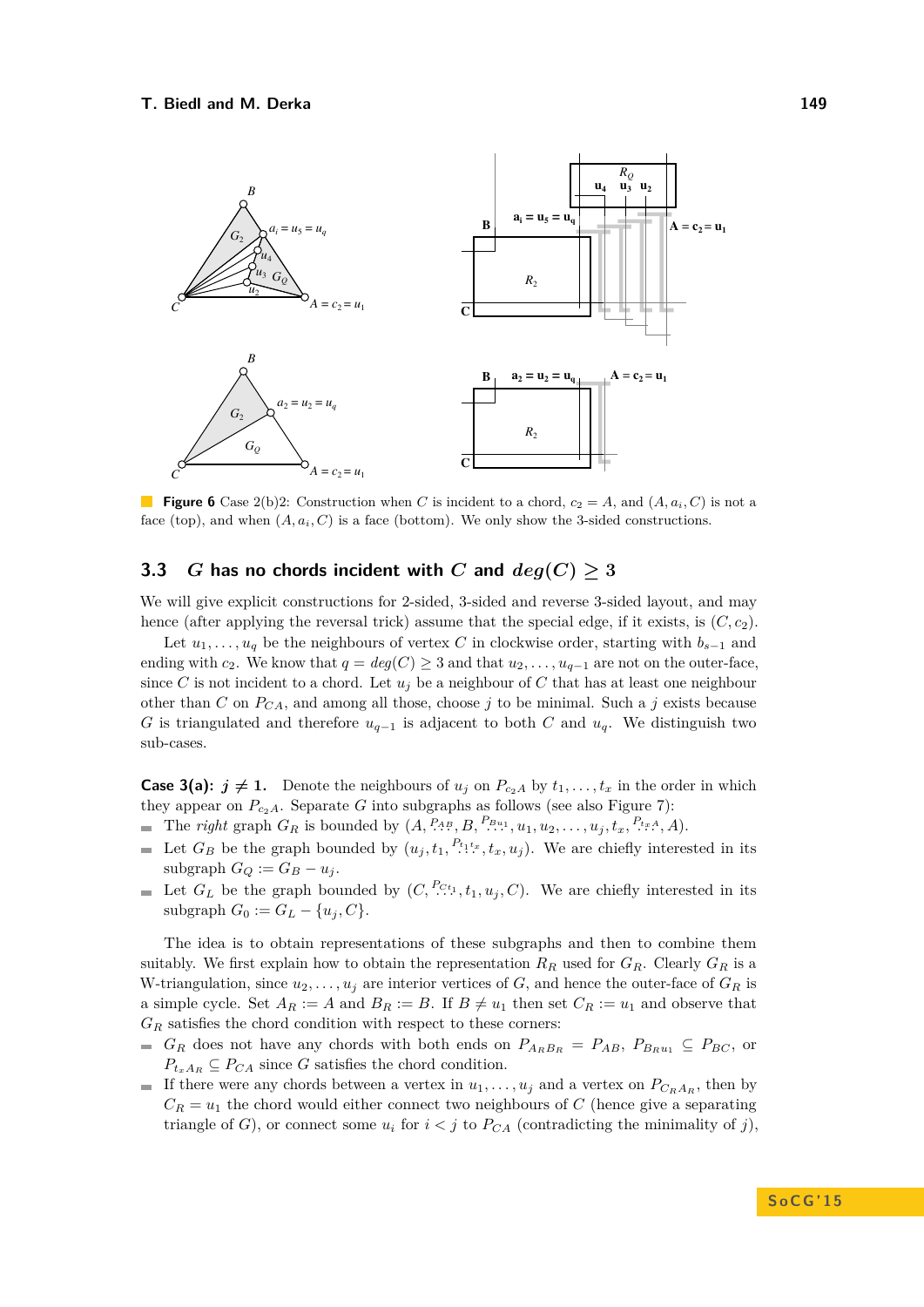<span id="page-8-0"></span>

**Figure 6** Case 2(b)2: Construction when *C* is incident to a chord,  $c_2 = A$ , and  $(A, a_i, C)$  is not a face (top), and when  $(A, a_i, C)$  is a face (bottom). We only show the 3-sided constructions.

# **3.3** *G* has no chords incident with *C* and  $deg(C) \geq 3$

We will give explicit constructions for 2-sided, 3-sided and reverse 3-sided layout, and may hence (after applying the reversal trick) assume that the special edge, if it exists, is  $(C, c_2)$ .

Let  $u_1, \ldots, u_q$  be the neighbours of vertex *C* in clockwise order, starting with  $b_{s-1}$  and ending with *c*<sub>2</sub>. We know that  $q = deg(C) \geq 3$  and that  $u_2, \ldots, u_{q-1}$  are not on the outer-face, since C is not incident to a chord. Let  $u_j$  be a neighbour of C that has at least one neighbour other than *C* on *PCA*, and among all those, choose *j* to be minimal. Such a *j* exists because *G* is triangulated and therefore  $u_{q-1}$  is adjacent to both *C* and  $u_q$ . We distinguish two sub-cases.

**Case 3(a):**  $j \neq 1$ . Denote the neighbours of  $u_j$  on  $P_{c_2A}$  by  $t_1, \ldots, t_x$  in the order in which they appear on  $P_{c_2A}$ . Separate *G* into subgraphs as follows (see also Figure [7\)](#page-9-0):

- The right graph  $G_R$  is bounded by  $(A, {}^{P_{AB}}_1, B, {}^{P_{Bu_1}}_1, u_1, u_2, \ldots, u_j, t_x, {}^{P_{t_x,A}}_1, A)$ .
- Let  $G_B$  be the graph bounded by  $(u_j, t_1, \frac{P_{t_1t_x}}{P_{t_2t_x}}, t_x, u_j)$ . We are chiefly interested in its subgraph  $G_Q := G_B - u_j$ .
- Let  $G_L$  be the graph bounded by  $(C, \frac{P_{C_t}}{P}, t_1, u_j, C)$ . We are chiefly interested in its  $\text{subgraph } G_0 := G_L - \{u_i, C\}.$

The idea is to obtain representations of these subgraphs and then to combine them suitably. We first explain how to obtain the representation  $R_R$  used for  $G_R$ . Clearly  $G_R$  is a W-triangulation, since  $u_2, \ldots, u_j$  are interior vertices of *G*, and hence the outer-face of  $G_R$  is a simple cycle. Set  $A_R := A$  and  $B_R := B$ . If  $B \neq u_1$  then set  $C_R := u_1$  and observe that  $G_R$  satisfies the chord condition with respect to these corners:

- *G*<sub>*R*</sub> does not have any chords with both ends on  $P_{A_R B_R} = P_{AB}$ ,  $P_{B_R u_1} \subseteq P_{BC}$ , or  $P_{t_xA_R} \subseteq P_{CA}$  since *G* satisfies the chord condition.
- If there were any chords between a vertex in  $u_1, \ldots, u_j$  and a vertex on  $P_{C_R A_R}$ , then by  $C_R = u_1$  the chord would either connect two neighbours of *C* (hence give a separating triangle of *G*), or connect some  $u_i$  for  $i < j$  to  $P_{CA}$  (contradicting the minimality of *j*),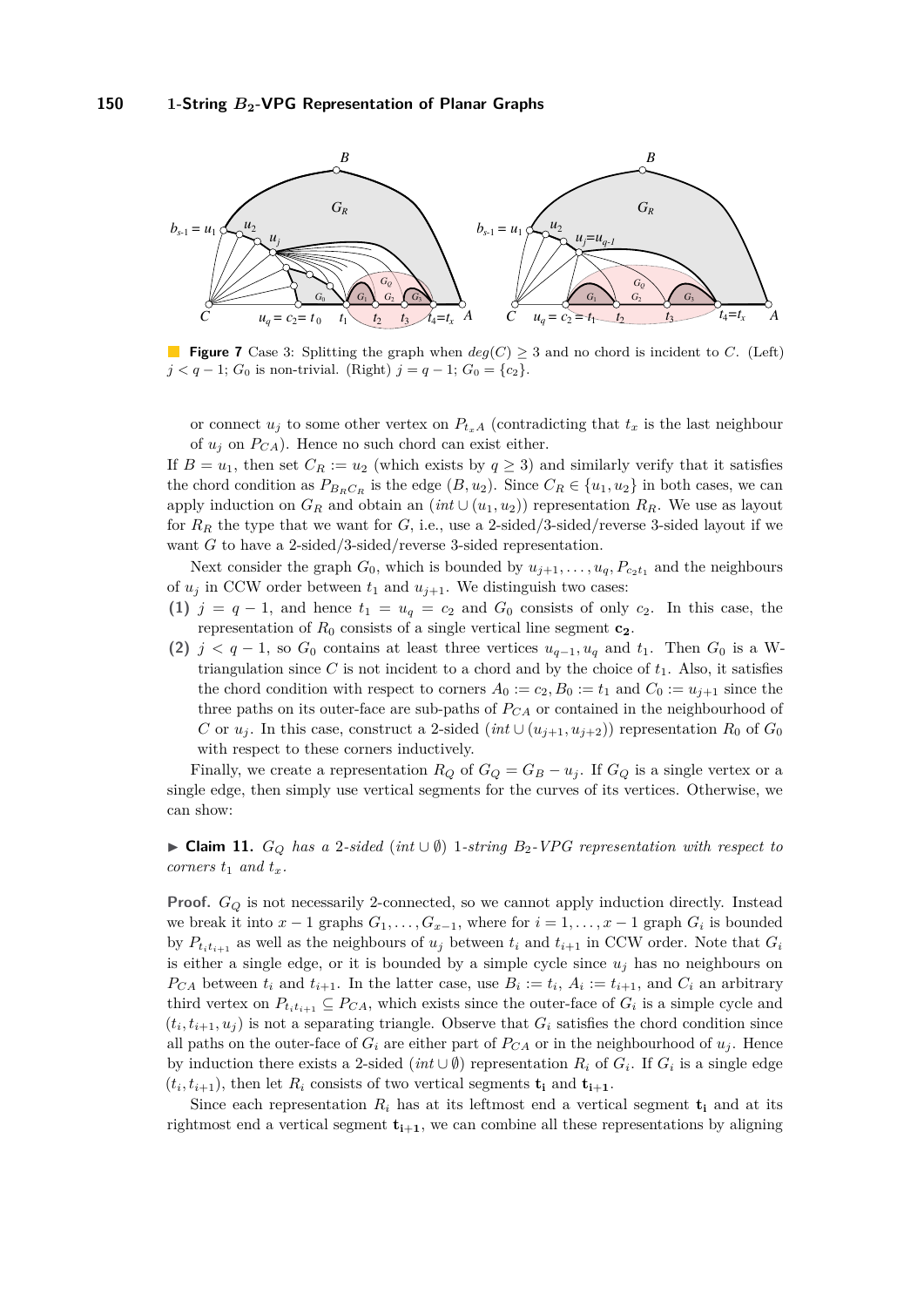<span id="page-9-0"></span>

**Figure 7** Case 3: Splitting the graph when  $deg(C) \geq 3$  and no chord is incident to *C*. (Left) *j* < *q* − 1; *G*<sub>0</sub> is non-trivial. (Right) *j* = *q* − 1; *G*<sub>0</sub> = {*c*<sub>2</sub>}.

or connect  $u_j$  to some other vertex on  $P_{t_xA}$  (contradicting that  $t_x$  is the last neighbour of  $u_j$  on  $P_{CA}$ ). Hence no such chord can exist either.

If  $B = u_1$ , then set  $C_R := u_2$  (which exists by  $q \ge 3$ ) and similarly verify that it satisfies the chord condition as  $P_{B_R C_R}$  is the edge  $(B, u_2)$ . Since  $C_R \in \{u_1, u_2\}$  in both cases, we can apply induction on  $G_R$  and obtain an  $(int \cup (u_1, u_2))$  representation  $R_R$ . We use as layout for  $R_R$  the type that we want for  $G$ , i.e., use a 2-sided/3-sided/reverse 3-sided layout if we want *G* to have a 2-sided/3-sided/reverse 3-sided representation.

Next consider the graph  $G_0$ , which is bounded by  $u_{j+1}, \ldots, u_q, P_{c_2t_1}$  and the neighbours of  $u_j$  in CCW order between  $t_1$  and  $u_{j+1}$ . We distinguish two cases:

- (1)  $j = q 1$ , and hence  $t_1 = u_q = c_2$  and  $G_0$  consists of only  $c_2$ . In this case, the representation of  $R_0$  consists of a single vertical line segment  $c_2$ .
- **(2)**  $j < q-1$ , so  $G_0$  contains at least three vertices  $u_{q-1}, u_q$  and  $t_1$ . Then  $G_0$  is a Wtriangulation since  $C$  is not incident to a chord and by the choice of  $t_1$ . Also, it satisfies the chord condition with respect to corners  $A_0 := c_2, B_0 := t_1$  and  $C_0 := u_{j+1}$  since the three paths on its outer-face are sub-paths of *PCA* or contained in the neighbourhood of *C* or *u<sub>j</sub>*. In this case, construct a 2-sided (*int* ∪ ( $u_{j+1}, u_{j+2}$ )) representation  $R_0$  of  $G_0$ with respect to these corners inductively.

Finally, we create a representation  $R_Q$  of  $G_Q = G_B - u_j$ . If  $G_Q$  is a single vertex or a single edge, then simply use vertical segments for the curves of its vertices. Otherwise, we can show:

**► Claim 11.**  $G_Q$  has a 2-sided (int  $\cup$  Ø) 1-string  $B_2$ -VPG representation with respect to *corners*  $t_1$  *and*  $t_x$ *.* 

**Proof.** *G<sup>Q</sup>* is not necessarily 2-connected, so we cannot apply induction directly. Instead we break it into  $x - 1$  graphs  $G_1, \ldots, G_{x-1}$ , where for  $i = 1, \ldots, x - 1$  graph  $G_i$  is bounded by  $P_{t:t_{i+1}}$  as well as the neighbours of  $u_j$  between  $t_i$  and  $t_{i+1}$  in CCW order. Note that  $G_i$ is either a single edge, or it is bounded by a simple cycle since  $u_j$  has no neighbours on *P*<sub>CA</sub> between  $t_i$  and  $t_{i+1}$ . In the latter case, use  $B_i := t_i$ ,  $A_i := t_{i+1}$ , and  $C_i$  an arbitrary third vertex on  $P_{t_i t_{i+1}} \subseteq P_{CA}$ , which exists since the outer-face of  $G_i$  is a simple cycle and  $(t_i, t_{i+1}, u_j)$  is not a separating triangle. Observe that  $G_i$  satisfies the chord condition since all paths on the outer-face of  $G_i$  are either part of  $P_{CA}$  or in the neighbourhood of  $u_j$ . Hence by induction there exists a 2-sided  $(int \cup \emptyset)$  representation  $R_i$  of  $G_i$ . If  $G_i$  is a single edge  $(t_i, t_{i+1})$ , then let  $R_i$  consists of two vertical segments  $t_i$  and  $t_{i+1}$ .

Since each representation  $R_i$  has at its leftmost end a vertical segment  $t_i$  and at its rightmost end a vertical segment  $t_{i+1}$ , we can combine all these representations by aligning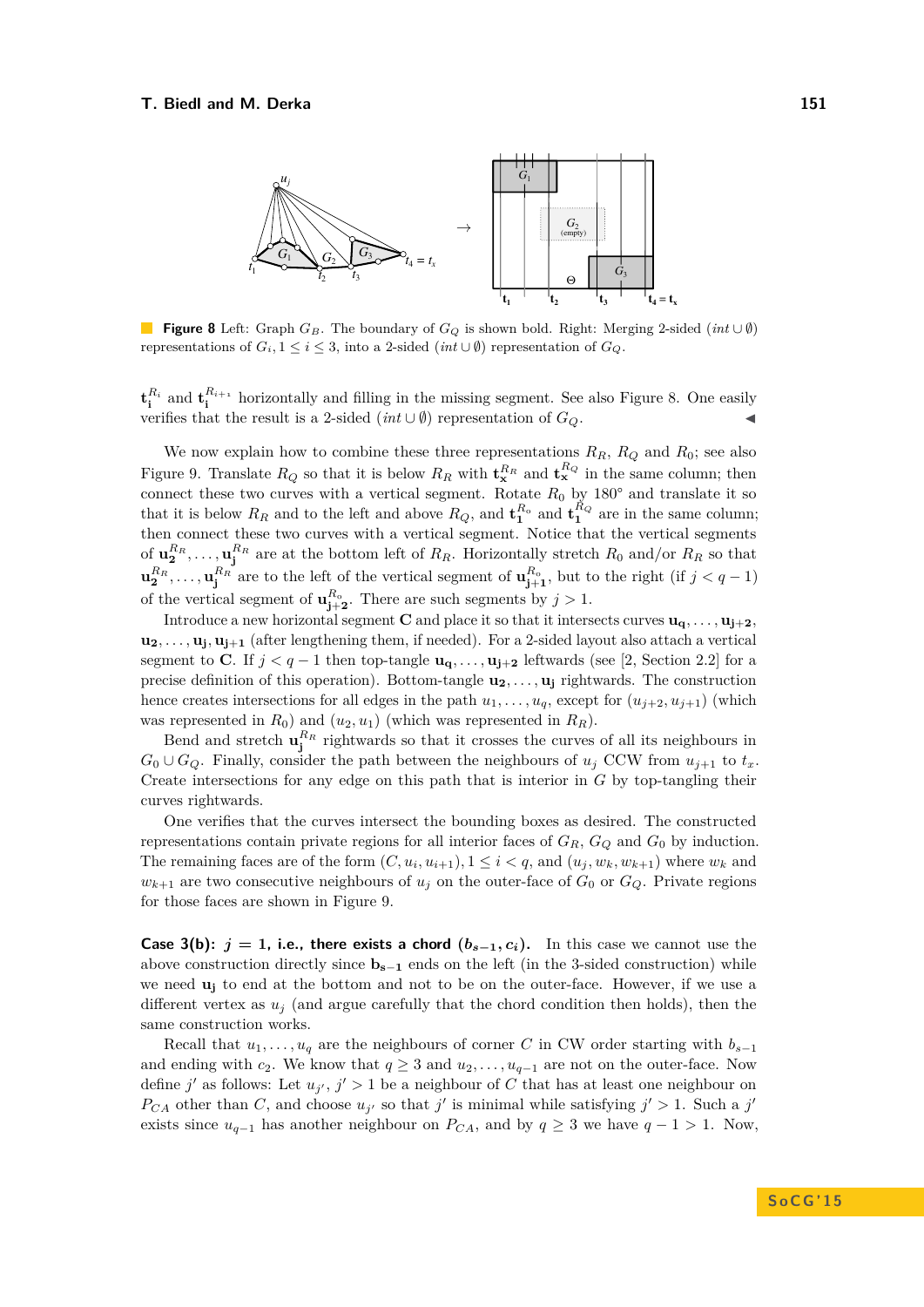<span id="page-10-0"></span>

**Figure 8** Left: Graph *GB*. The boundary of *G<sup>Q</sup>* is shown bold. Right: Merging 2-sided (*int* ∪ ∅) representations of  $G_i$ ,  $1 \leq i \leq 3$ , into a 2-sided (*int*  $\cup \emptyset$ ) representation of  $G_Q$ .

 $\mathbf{t}_{\mathbf{i}}^{R_i}$  and  $\mathbf{t}_{\mathbf{i}}^{R_{i+1}}$  horizontally and filling in the missing segment. See also Figure [8.](#page-10-0) One easily verifies that the result is a 2-sided (*int*  $\cup$  ∅) representation of  $G_Q$ .

We now explain how to combine these three representations *RR*, *R<sup>Q</sup>* and *R*0; see also Figure [9.](#page-11-0) Translate  $R_Q$  so that it is below  $R_R$  with  $\mathbf{t}_{\mathbf{x}}^{R_R}$  and  $\mathbf{t}_{\mathbf{x}}^{R_Q}$  in the same column; then connect these two curves with a vertical segment. Rotate  $R_0$  by 180° and translate it so that it is below  $R_R$  and to the left and above  $R_Q$ , and  $\mathbf{t}_1^{R_Q}$  and  $\mathbf{t}_1^{R_Q}$  are in the same column; then connect these two curves with a vertical segment. Notice that the vertical segments of  $\mathbf{u}_{\mathbf{2}}^{R_R}, \ldots, \mathbf{u}_{\mathbf{j}}^{R_R}$  are at the bottom left of  $R_R$ . Horizontally stretch  $R_0$  and/or  $R_R$  so that  $\mathbf{u}_{\mathbf{j+1}}^{R_R}, \ldots, \mathbf{u}_{\mathbf{j}}^{R_R}$  are to the left of the vertical segment of  $\mathbf{u}_{\mathbf{j+1}}^{R_0}$ , but to the right (if  $j < q - 1$ ) of the vertical segment of  $\mathbf{u}_{j+2}^{R_o}$ . There are such segments by  $j > 1$ .

Introduce a new horizontal segment **C** and place it so that it intersects curves  $\mathbf{u}_{q}$ ,  $\dots$ ,  $\mathbf{u}_{i+2}$ ,  $\mathbf{u}_2, \ldots, \mathbf{u}_j, \mathbf{u}_{j+1}$  (after lengthening them, if needed). For a 2-sided layout also attach a vertical segment to **C**. If  $j < q - 1$  then top-tangle  $\mathbf{u_q}, \ldots, \mathbf{u_{j+2}}$  leftwards (see [\[2,](#page-14-13) Section 2.2] for a precise definition of this operation). Bottom-tangle **u2***, . . . ,* **u<sup>j</sup>** rightwards. The construction hence creates intersections for all edges in the path  $u_1, \ldots, u_q$ , except for  $(u_{j+2}, u_{j+1})$  (which was represented in  $R_0$ ) and  $(u_2, u_1)$  (which was represented in  $R_R$ ).

Bend and stretch  $\mathbf{u}_{j}^{R_R}$  rightwards so that it crosses the curves of all its neighbours in *G*<sub>0</sub> ∪ *G*<sub>*Q*</sub>. Finally, consider the path between the neighbours of *u<sub>i</sub>* CCW from *u*<sub>*j*+1</sub> to *t*<sub>*x*</sub>. Create intersections for any edge on this path that is interior in *G* by top-tangling their curves rightwards.

One verifies that the curves intersect the bounding boxes as desired. The constructed representations contain private regions for all interior faces of  $G_R$ ,  $G_Q$  and  $G_0$  by induction. The remaining faces are of the form  $(C, u_i, u_{i+1}), 1 \leq i < q$ , and  $(u_j, w_k, w_{k+1})$  where  $w_k$  and  $w_{k+1}$  are two consecutive neighbours of  $u_j$  on the outer-face of  $G_0$  or  $G_Q$ . Private regions for those faces are shown in Figure [9.](#page-11-0)

**Case 3(b):**  $j = 1$ , i.e., there exists a chord  $(b_{s-1}, c_i)$ . In this case we cannot use the above construction directly since **bs**−**<sup>1</sup>** ends on the left (in the 3-sided construction) while we need **u<sup>j</sup>** to end at the bottom and not to be on the outer-face. However, if we use a different vertex as *u<sup>j</sup>* (and argue carefully that the chord condition then holds), then the same construction works.

Recall that  $u_1, \ldots, u_q$  are the neighbours of corner *C* in CW order starting with  $b_{s-1}$ and ending with *c*<sub>2</sub>. We know that  $q \geq 3$  and  $u_2, \ldots, u_{q-1}$  are not on the outer-face. Now define *j'* as follows: Let  $u_{j'}$ ,  $j' > 1$  be a neighbour of *C* that has at least one neighbour on *P<sub>CA</sub>* other than *C*, and choose  $u_{j'}$  so that *j*' is minimal while satisfying  $j' > 1$ . Such a *j*' exists since  $u_{q-1}$  has another neighbour on  $P_{CA}$ , and by  $q \geq 3$  we have  $q-1 > 1$ . Now,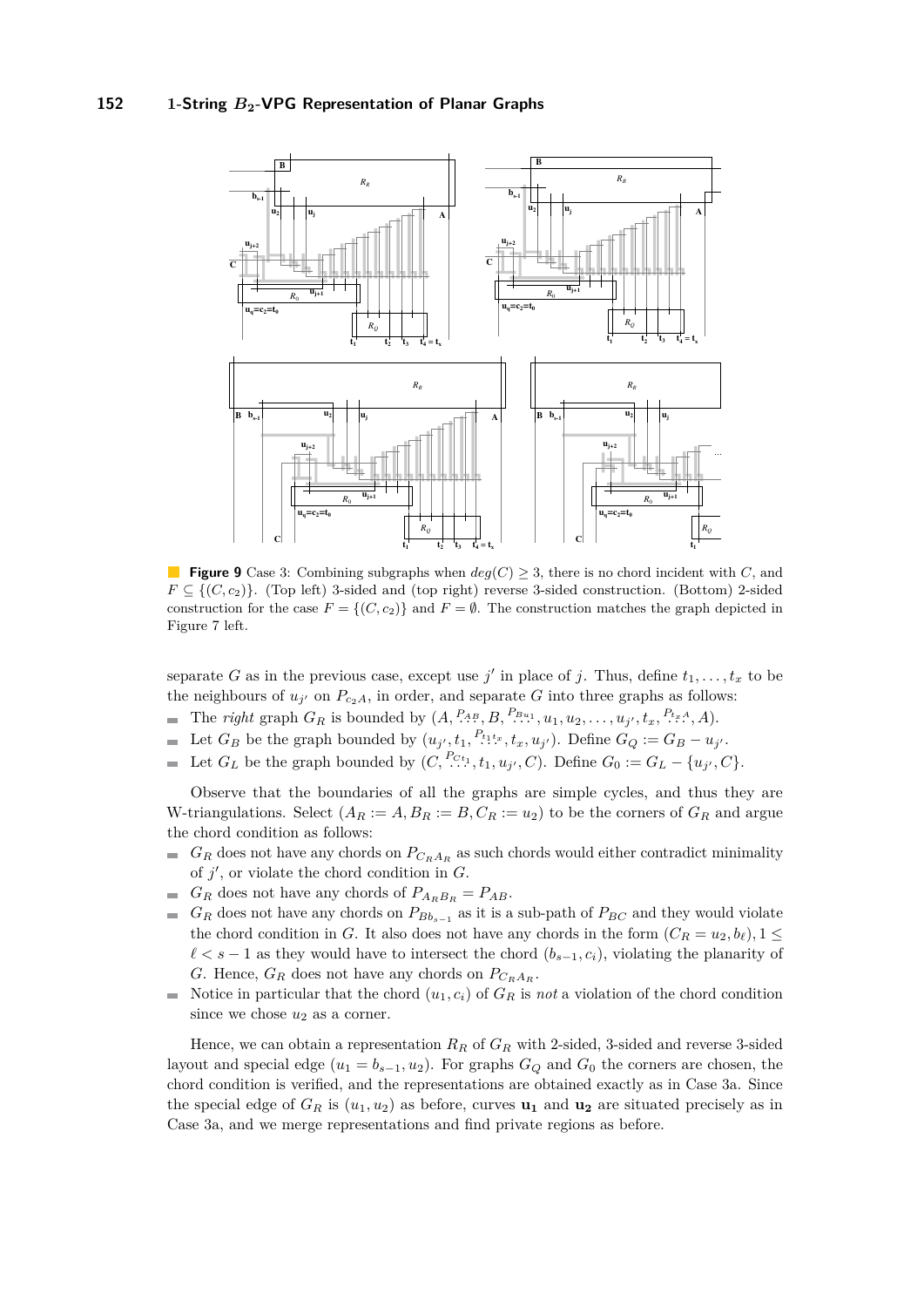<span id="page-11-0"></span>

**Figure 9** Case 3: Combining subgraphs when  $deg(C) \geq 3$ , there is no chord incident with *C*, and  $F \subseteq \{(C, c_2)\}\$ . (Top left) 3-sided and (top right) reverse 3-sided construction. (Bottom) 2-sided construction for the case  $F = \{(C, c_2)\}\$  and  $F = \emptyset$ . The construction matches the graph depicted in Figure [7](#page-9-0) left.

separate *G* as in the previous case, except use *j'* in place of *j*. Thus, define  $t_1, \ldots, t_x$  to be the neighbours of  $u_{j'}$  on  $P_{c_2A}$ , in order, and separate *G* into three graphs as follows:

- The right graph  $G_R$  is bounded by  $(A, \stackrel{P_{AB}}{\ldots}, B, \stackrel{P_{Bu_1}}{\ldots}, u_1, u_2, \ldots, u_{j'}, t_x, \stackrel{P_{t_x,A}}{\ldots}, A).$
- Let  $G_B$  be the graph bounded by  $(u_{j'}, t_1, \frac{P_{t_1t_x}}{P_{t_2t_x}}, t_x, u_{j'})$ . Define  $G_Q := G_B u_{j'}$ .
- Let  $G_L$  be the graph bounded by  $(C, \dots, t_1, u_{j'}, C)$ . Define  $G_0 := G_L \{u_{j'}, C\}$ .  $\overline{\phantom{a}}$

Observe that the boundaries of all the graphs are simple cycles, and thus they are W-triangulations. Select  $(A_R := A, B_R := B, C_R := u_2)$  to be the corners of  $G_R$  and argue the chord condition as follows:

- $G_R$  does not have any chords on  $P_{C_R A_R}$  as such chords would either contradict minimality of  $j'$ , or violate the chord condition in  $G$ .
- $G_R$  does not have any chords of  $P_{A_R B_R} = P_{AB}$ .
- $G_R$  does not have any chords on  $P_{Bb_{s-1}}$  as it is a sub-path of  $P_{BC}$  and they would violate the chord condition in *G*. It also does not have any chords in the form  $(C_R = u_2, b_\ell), 1 \leq$  $\ell < s - 1$  as they would have to intersect the chord  $(b_{s-1}, c_i)$ , violating the planarity of *G*. Hence,  $G_R$  does not have any chords on  $P_{C_R A_R}$ .
- Notice in particular that the chord  $(u_1, c_i)$  of  $G_R$  is *not* a violation of the chord condition  $\sim$ since we chose  $u_2$  as a corner.

Hence, we can obtain a representation *R<sup>R</sup>* of *G<sup>R</sup>* with 2-sided, 3-sided and reverse 3-sided layout and special edge  $(u_1 = b_{s-1}, u_2)$ . For graphs  $G_Q$  and  $G_0$  the corners are chosen, the chord condition is verified, and the representations are obtained exactly as in Case 3a. Since the special edge of  $G_R$  is  $(u_1, u_2)$  as before, curves  $\mathbf{u}_1$  and  $\mathbf{u}_2$  are situated precisely as in Case 3a, and we merge representations and find private regions as before.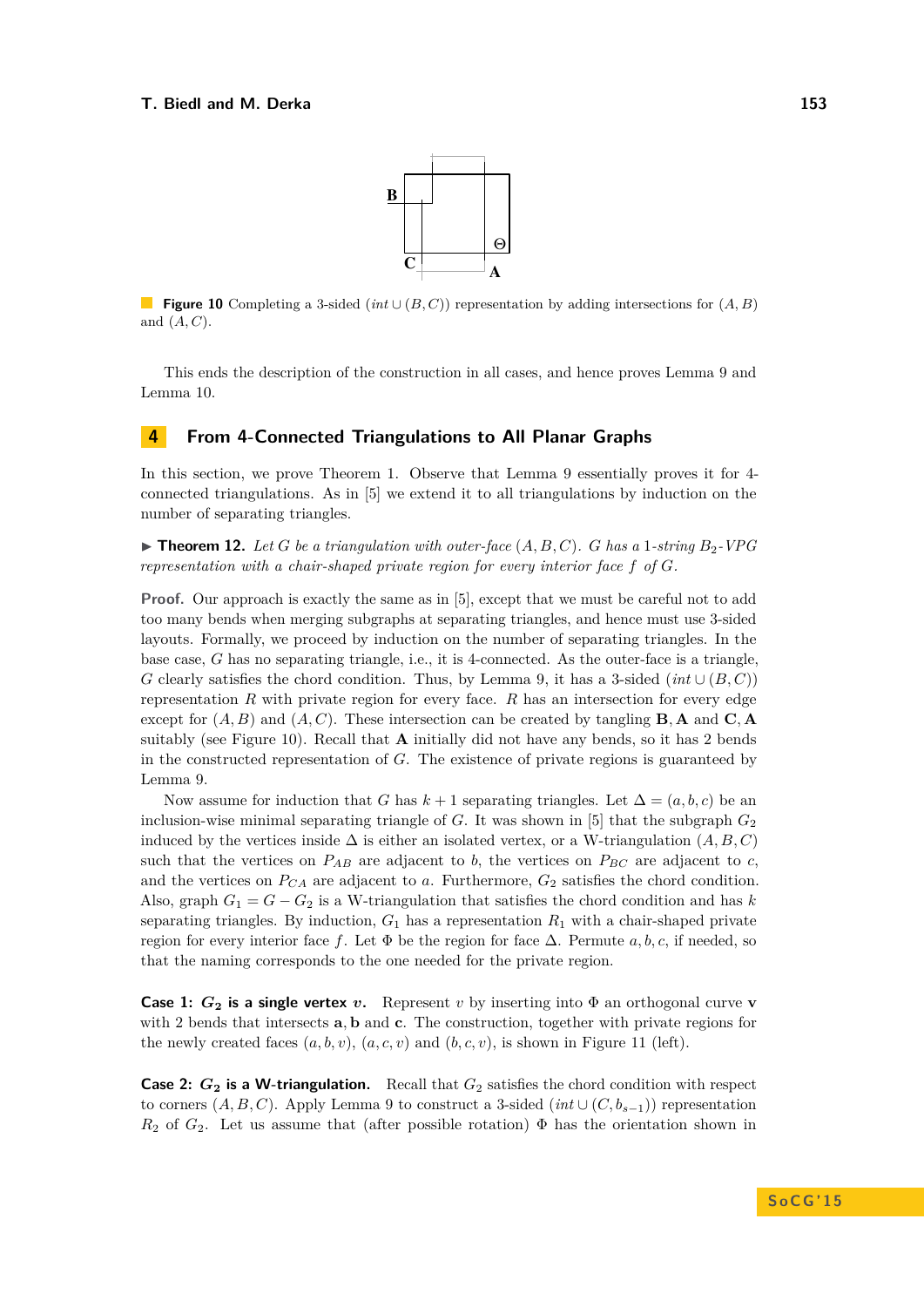

<span id="page-12-0"></span>**Figure 10** Completing a 3-sided (*int* ∪ (*B, C*)) representation by adding intersections for (*A, B*) and (*A, C*).

This ends the description of the construction in all cases, and hence proves Lemma [9](#page-4-2) and Lemma [10.](#page-5-0)

## **4 From 4-Connected Triangulations to All Planar Graphs**

In this section, we prove Theorem [1.](#page-1-0) Observe that Lemma [9](#page-4-2) essentially proves it for 4 connected triangulations. As in [\[5\]](#page-14-6) we extend it to all triangulations by induction on the number of separating triangles.

<span id="page-12-1"></span> $\blacktriangleright$  **Theorem 12.** Let G be a triangulation with outer-face  $(A, B, C)$ . G has a 1-string  $B_2$ -VPG *representation with a chair-shaped private region for every interior face f of G.*

**Proof.** Our approach is exactly the same as in [\[5\]](#page-14-6), except that we must be careful not to add too many bends when merging subgraphs at separating triangles, and hence must use 3-sided layouts. Formally, we proceed by induction on the number of separating triangles. In the base case, *G* has no separating triangle, i.e., it is 4-connected. As the outer-face is a triangle, *G* clearly satisfies the chord condition. Thus, by Lemma [9,](#page-4-2) it has a 3-sided (*int* ∪  $(B, C)$ ) representation  $R$  with private region for every face.  $R$  has an intersection for every edge except for  $(A, B)$  and  $(A, C)$ . These intersection can be created by tangling **B**, **A** and **C**, **A** suitably (see Figure [10\)](#page-12-0). Recall that **A** initially did not have any bends, so it has 2 bends in the constructed representation of *G*. The existence of private regions is guaranteed by Lemma [9.](#page-4-2)

Now assume for induction that *G* has  $k + 1$  separating triangles. Let  $\Delta = (a, b, c)$  be an inclusion-wise minimal separating triangle of  $G$ . It was shown in [\[5\]](#page-14-6) that the subgraph  $G_2$ induced by the vertices inside  $\Delta$  is either an isolated vertex, or a W-triangulation  $(A, B, C)$ such that the vertices on  $P_{AB}$  are adjacent to *b*, the vertices on  $P_{BC}$  are adjacent to *c*, and the vertices on  $P_{CA}$  are adjacent to *a*. Furthermore,  $G_2$  satisfies the chord condition. Also, graph  $G_1 = G - G_2$  is a W-triangulation that satisfies the chord condition and has k separating triangles. By induction,  $G_1$  has a representation  $R_1$  with a chair-shaped private region for every interior face *f*. Let  $\Phi$  be the region for face  $\Delta$ . Permute *a*, *b*, *c*, if needed, so that the naming corresponds to the one needed for the private region.

**Case 1:**  $G_2$  is a single vertex *v*. Represent *v* by inserting into  $\Phi$  an orthogonal curve **v** with 2 bends that intersects **a***,* **b** and **c**. The construction, together with private regions for the newly created faces  $(a, b, v)$ ,  $(a, c, v)$  and  $(b, c, v)$ , is shown in Figure [11](#page-13-0) (left).

**Case 2:**  $G_2$  is a W-triangulation. Recall that  $G_2$  satisfies the chord condition with respect to corners  $(A, B, C)$ . Apply Lemma [9](#page-4-2) to construct a 3-sided  $(int \cup (C, b_{s-1}))$  representation *R*<sup>2</sup> of *G*2. Let us assume that (after possible rotation) Φ has the orientation shown in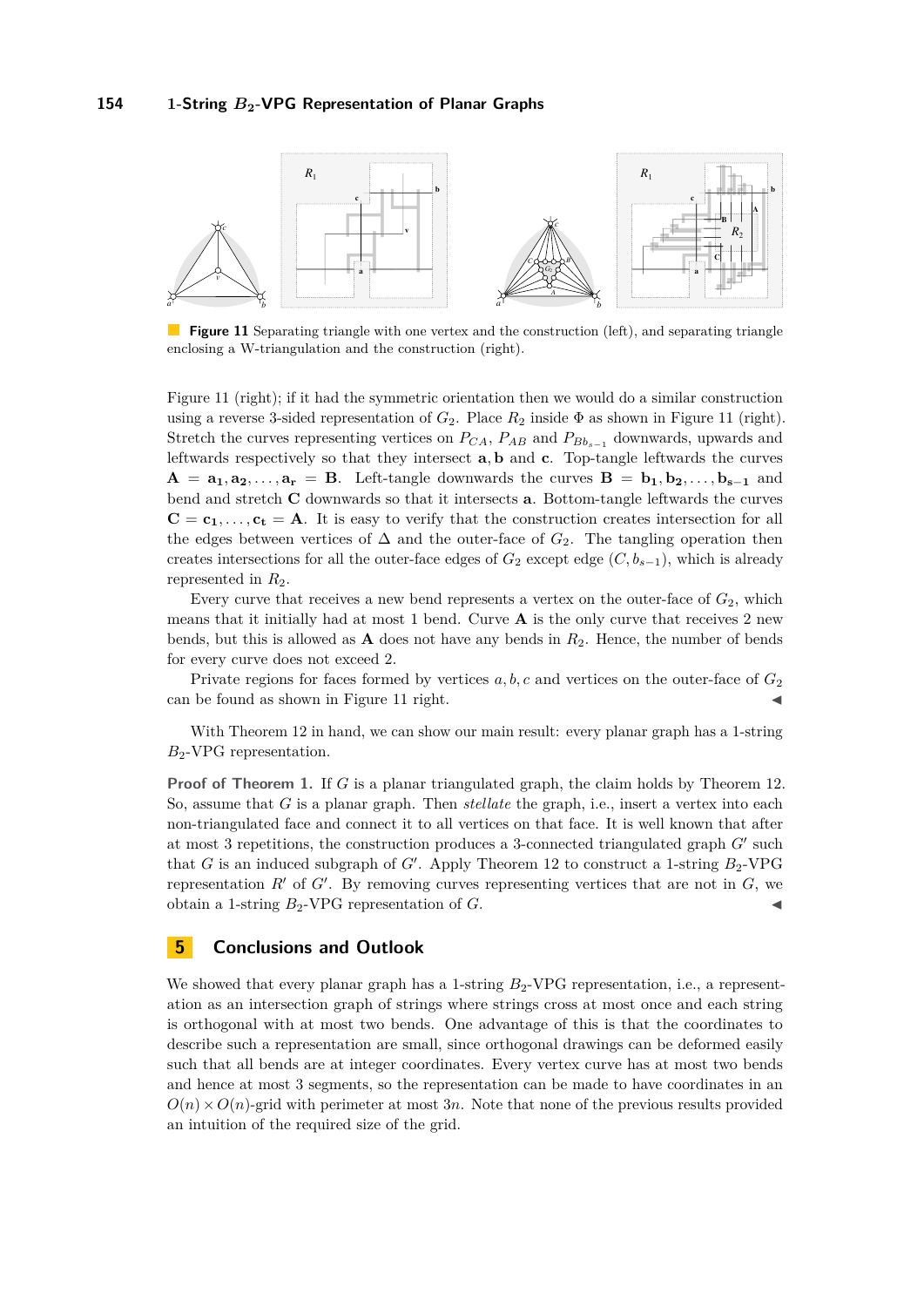<span id="page-13-0"></span>

**Figure 11** Separating triangle with one vertex and the construction (left), and separating triangle enclosing a W-triangulation and the construction (right).

Figure [11](#page-13-0) (right); if it had the symmetric orientation then we would do a similar construction using a reverse 3-sided representation of  $G_2$ . Place  $R_2$  inside  $\Phi$  as shown in Figure [11](#page-13-0) (right). Stretch the curves representing vertices on  $P_{CA}$ ,  $P_{AB}$  and  $P_{Bb_{s-1}}$  downwards, upwards and leftwards respectively so that they intersect **a***,* **b** and **c**. Top-tangle leftwards the curves  $A = a_1, a_2, \ldots, a_r = B$ . Left-tangle downwards the curves  $B = b_1, b_2, \ldots, b_{s-1}$  and bend and stretch **C** downwards so that it intersects **a**. Bottom-tangle leftwards the curves  $C = c_1, \ldots, c_t = A$ . It is easy to verify that the construction creates intersection for all the edges between vertices of  $\Delta$  and the outer-face of  $G_2$ . The tangling operation then creates intersections for all the outer-face edges of  $G_2$  except edge  $(C, b_{s-1})$ , which is already represented in *R*2.

Every curve that receives a new bend represents a vertex on the outer-face of  $G_2$ , which means that it initially had at most 1 bend. Curve **A** is the only curve that receives 2 new bends, but this is allowed as **A** does not have any bends in *R*2. Hence, the number of bends for every curve does not exceed 2.

Private regions for faces formed by vertices  $a, b, c$  and vertices on the outer-face of  $G_2$ can be found as shown in Figure [11](#page-13-0) right.

With Theorem [12](#page-12-1) in hand, we can show our main result: every planar graph has a 1-string *B*2-VPG representation.

**Proof of Theorem [1.](#page-1-0)** If *G* is a planar triangulated graph, the claim holds by Theorem [12.](#page-12-1) So, assume that *G* is a planar graph. Then *stellate* the graph, i.e., insert a vertex into each non-triangulated face and connect it to all vertices on that face. It is well known that after at most 3 repetitions, the construction produces a 3-connected triangulated graph  $G'$  such that *G* is an induced subgraph of  $G'$ . Apply Theorem [12](#page-12-1) to construct a 1-string  $B_2$ -VPG representation  $R'$  of  $G'$ . By removing curves representing vertices that are not in  $G$ , we obtain a 1-string  $B_2$ -VPG representation of  $G$ .

## **5 Conclusions and Outlook**

We showed that every planar graph has a 1-string  $B_2$ -VPG representation, i.e., a representation as an intersection graph of strings where strings cross at most once and each string is orthogonal with at most two bends. One advantage of this is that the coordinates to describe such a representation are small, since orthogonal drawings can be deformed easily such that all bends are at integer coordinates. Every vertex curve has at most two bends and hence at most 3 segments, so the representation can be made to have coordinates in an  $O(n) \times O(n)$ -grid with perimeter at most 3*n*. Note that none of the previous results provided an intuition of the required size of the grid.